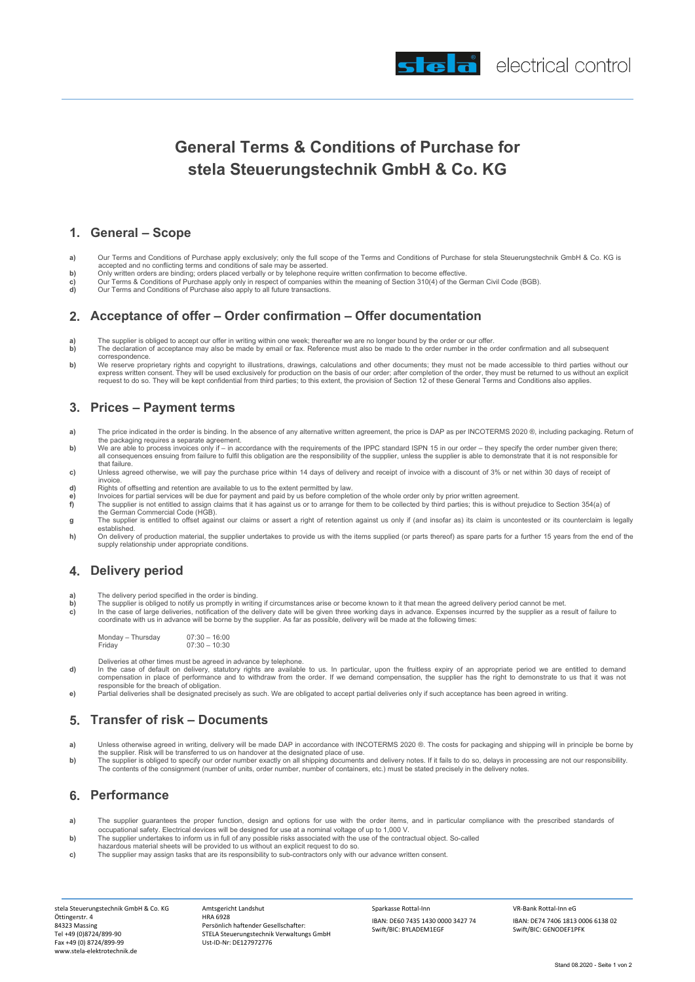

# **General Terms & Conditions of Purchase for stela Steuerungstechnik GmbH & Co. KG**

#### **1. General – Scope**

- **a)** Our Terms and Conditions of Purchase apply exclusively; only the full scope of the Terms and Conditions of Purchase for stela Steuerungstechnik GmbH & Co. KG is accepted and no conflicting terms and conditions of sale may be asserted.
- 
- **b)** Only written orders are binding; orders placed verbally or by telephone require written confirmation to become effective.<br>**c)** Our Terms & Conditions of Purchase apply only in respect of companies within the meaning o
- **c)** Our Terms & Conditions of Purchase apply only in respect of companies wi<br>**d)** Our Terms and Conditions of Purchase also apply to all future transactions.

#### **2. Acceptance of offer – Order confirmation – Offer documentation**

- **a)** The supplier is obliged to accept our offer in writing within one week; thereafter we are no longer bound by the order or our offer.<br>**b**) The declaration of acceptance may also be made by email or fax. Reference must
- **b)** The declaration of acceptance may also be made by email or fax. Reference must also be made to the order number in the order confirmation and all subsequent correspondence.
- **b)** We reserve proprietary rights and copyright to illustrations, drawings, calculations and other documents; they must not be made accessible to third parties without our<br>express written consent. They will be used exclus request to do so. They will be kept confidential from third parties; to this extent, the provision of Section 12 of these General Terms and Conditions also applies.

#### **3. Prices – Payment terms**

- **a)** The price indicated in the order is binding. In the absence of any alternative written agreement, the price is DAP as per INCOTERMS 2020 ®, including packaging. Return of
- the packaging requires a separate agreement. **b)** We are able to process invoices only if in accordance with the requirements of the IPPC standard ISPN 15 in our order they specify the order number given there; all consequences ensuing from failure to fulfil this obligation are the responsibility of the supplier, unless the supplier is able to demonstrate that it is not responsible for that failure.
- **c)** Unless agreed otherwise, we will pay the purchase price within 14 days of delivery and receipt of invoice with a discount of 3% or net within 30 days of receipt of invoice.
- **d)** Rights of offsetting and retention are available to us to the extent permitted by law.<br> **d** and the process for partial services will be due for payment and paid by us before complete
- **e)**<br>
Invoices for partial services will be due for payment and paid by us before completion of the whole order only by prior written agreement.<br> **f**) The supplier is not entitled to assign claims that it has against us or
- **f)** The supplier is not entitled to assign claims that it has against us or to arrange for them to be collected by third parties; this is without prejudice to Section 354(a) of the German Commercial Code (HGB).
- **g** The supplier is entitled to offset against our claims or assert a right of retention against us only if (and insofar as) its claim is uncontested or its counterclaim is legally established.
- **h)** On delivery of production material, the supplier undertakes to provide us with the items supplied (or parts thereof) as spare parts for a further 15 years from the end of the supply relationship under appropriate conditions.

#### **4. Delivery period**

- **a)** The delivery period specified in the order is binding.<br>**b)** The supplier is obliged to notify us promptly in writing
- **b)** The supplier is obliged to notify us promptly in writing if circumstances arise or become known to it that mean the agreed delivery period cannot be met.<br>**c)** In the case of large deliveries, notification of the deliv
- coordinate with us in advance will be borne by the supplier. As far as possible, delivery will be made at the following times:

Monday – Thursday<br>Friday  $07:30 - 16:00$ <br> $07:30 - 10:30$ 

- Deliveries at other times must be agreed in advance by telephone.
- **d)** In the case of default on delivery, statutory rights are available to us. In particular, upon the fruitless expiry of an appropriate period we are entitled to demand<br>compensation in place of performance and to withdra responsible for the breach of obligation.
- **e)** Partial deliveries shall be designated precisely as such. We are obligated to accept partial deliveries only if such acceptance has been agreed in writing.

# **5. Transfer of risk – Documents**

- **a**) Unless otherwise agreed in writing, delivery will be made DAP in accordance with INCOTERMS 2020 ®. The costs for packaging and shipping will in principle be borne by the supplier. Risk will be transferred to us on handover at the designated place of use.
- b) The supplier is obliged to specify our order number exactly on all shipping documents and delivery notes. If it fails to do so, delays in processing are not our responsibility.<br>The contents of the consignment (number of

#### **6. Performance**

- **a)** The supplier guarantees the proper function, design and options for use with the order items, and in particular compliance with the prescribed standards of occupational safety. Electrical devices will be designed for use at a nominal voltage of up to 1,000 V.
- **b)** The supplier undertakes to inform us in full of any possible risks associated with the use of the contractual object. So-called
- hazardous material sheets will be provided to us without an explicit request to do so. **c)** The supplier may assign tasks that are its responsibility to sub-contractors only with our advance written consent.
- 

stela Steuerungstechnik GmbH & Co. KG Öttingerstr. 4 84323 Massing Tel +49 (0)8724/899-90 Fax +49 (0) 8724/899-99 www.stela-elektrotechnik.de

Amtsgericht Landshut HRA 6928 Persönlich haftender Gesellschafter: STELA Steuerungstechnik Verwaltungs GmbH Ust-ID-Nr: DE127972776

Sparkasse Rottal-Inn IBAN: DE60 7435 1430 0000 3427 74 Swift/BIC: BYLADEM1EGF

VR-Bank Rottal-Inn eG IBAN: DE74 7406 1813 0006 6138 02 Swift/BIC: GENODEF1PFK